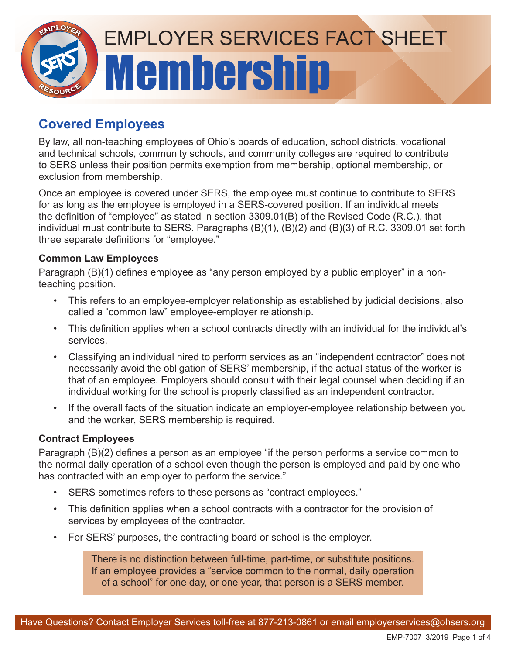

# **Covered Employees**

By law, all non-teaching employees of Ohio's boards of education, school districts, vocational and technical schools, community schools, and community colleges are required to contribute to SERS unless their position permits exemption from membership, optional membership, or exclusion from membership.

Once an employee is covered under SERS, the employee must continue to contribute to SERS for as long as the employee is employed in a SERS-covered position. If an individual meets the definition of "employee" as stated in section 3309.01(B) of the Revised Code (R.C.), that individual must contribute to SERS. Paragraphs (B)(1), (B)(2) and (B)(3) of R.C. 3309.01 set forth three separate definitions for "employee."

## **Common Law Employees**

Paragraph (B)(1) defines employee as "any person employed by a public employer" in a nonteaching position.

- This refers to an employee-employer relationship as established by judicial decisions, also called a "common law" employee-employer relationship.
- This definition applies when a school contracts directly with an individual for the individual's services.
- Classifying an individual hired to perform services as an "independent contractor" does not necessarily avoid the obligation of SERS' membership, if the actual status of the worker is that of an employee. Employers should consult with their legal counsel when deciding if an individual working for the school is properly classified as an independent contractor.
- If the overall facts of the situation indicate an employer-employee relationship between you and the worker, SERS membership is required.

### **Contract Employees**

Paragraph (B)(2) defines a person as an employee "if the person performs a service common to the normal daily operation of a school even though the person is employed and paid by one who has contracted with an employer to perform the service."

- SERS sometimes refers to these persons as "contract employees."
- This definition applies when a school contracts with a contractor for the provision of services by employees of the contractor.
- For SERS' purposes, the contracting board or school is the employer.

There is no distinction between full-time, part-time, or substitute positions. If an employee provides a "service common to the normal, daily operation of a school" for one day, or one year, that person is a SERS member.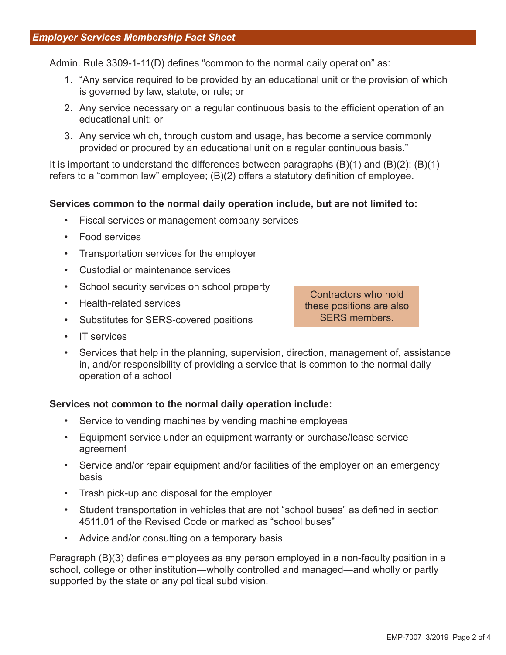Admin. Rule 3309-1-11(D) defines "common to the normal daily operation" as:

- 1. "Any service required to be provided by an educational unit or the provision of which is governed by law, statute, or rule; or
- 2. Any service necessary on a regular continuous basis to the efficient operation of an educational unit; or
- 3. Any service which, through custom and usage, has become a service commonly provided or procured by an educational unit on a regular continuous basis."

It is important to understand the differences between paragraphs  $(B)(1)$  and  $(B)(2)$ :  $(B)(1)$ refers to a "common law" employee; (B)(2) offers a statutory definition of employee.

#### **Services common to the normal daily operation include, but are not limited to:**

- Fiscal services or management company services
- Food services
- Transportation services for the employer
- Custodial or maintenance services
- School security services on school property
- Health-related services
- Substitutes for SERS-covered positions

Contractors who hold these positions are also SERS members.

- IT services
- Services that help in the planning, supervision, direction, management of, assistance in, and/or responsibility of providing a service that is common to the normal daily operation of a school

#### **Services not common to the normal daily operation include:**

- Service to vending machines by vending machine employees
- Equipment service under an equipment warranty or purchase/lease service agreement
- Service and/or repair equipment and/or facilities of the employer on an emergency basis
- Trash pick-up and disposal for the employer
- Student transportation in vehicles that are not "school buses" as defined in section 4511.01 of the Revised Code or marked as "school buses"
- Advice and/or consulting on a temporary basis

Paragraph (B)(3) defines employees as any person employed in a non-faculty position in a school, college or other institution―wholly controlled and managed―and wholly or partly supported by the state or any political subdivision.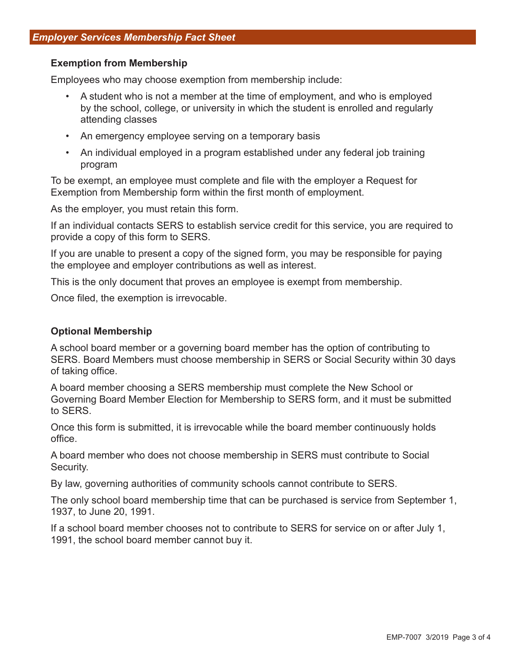#### **Exemption from Membership**

Employees who may choose exemption from membership include:

- A student who is not a member at the time of employment, and who is employed by the school, college, or university in which the student is enrolled and regularly attending classes
- An emergency employee serving on a temporary basis
- An individual employed in a program established under any federal job training program

To be exempt, an employee must complete and file with the employer a Request for Exemption from Membership form within the first month of employment.

As the employer, you must retain this form.

If an individual contacts SERS to establish service credit for this service, you are required to provide a copy of this form to SERS.

If you are unable to present a copy of the signed form, you may be responsible for paying the employee and employer contributions as well as interest.

This is the only document that proves an employee is exempt from membership.

Once filed, the exemption is irrevocable.

#### **Optional Membership**

A school board member or a governing board member has the option of contributing to SERS. Board Members must choose membership in SERS or Social Security within 30 days of taking office.

A board member choosing a SERS membership must complete the New School or Governing Board Member Election for Membership to SERS form, and it must be submitted to SERS.

Once this form is submitted, it is irrevocable while the board member continuously holds office.

A board member who does not choose membership in SERS must contribute to Social Security.

By law, governing authorities of community schools cannot contribute to SERS.

The only school board membership time that can be purchased is service from September 1, 1937, to June 20, 1991.

If a school board member chooses not to contribute to SERS for service on or after July 1, 1991, the school board member cannot buy it.